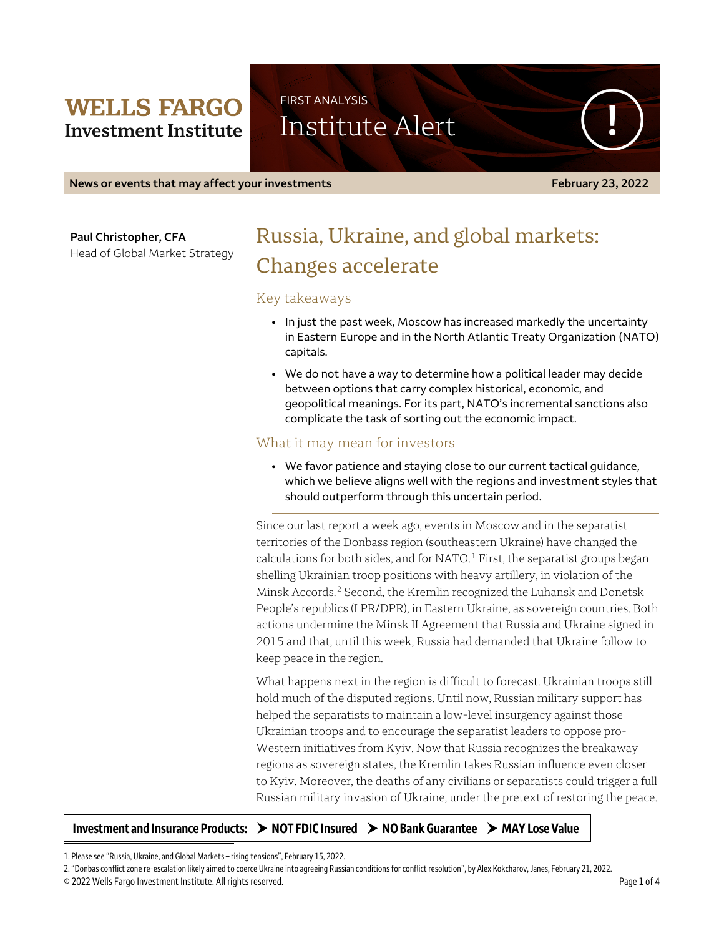## **WELLS FARGO Investment Institute**

Institute Alert

FIRST ANALYSIS

**News or events that may affect your investments February 23, 2022** 

**Paul Christopher, CFA**

Head of Global Market Strategy

# Russia, Ukraine, and global markets: Changes accelerate

## Key takeaways

- In just the past week, Moscow has increased markedly the uncertainty in Eastern Europe and in the North Atlantic Treaty Organization (NATO) capitals.
- We do not have a way to determine how a political leader may decide between options that carry complex historical, economic, and geopolitical meanings. For its part, NATO's incremental sanctions also complicate the task of sorting out the economic impact.

## What it may mean for investors

• We favor patience and staying close to our current tactical guidance, which we believe aligns well with the regions and investment styles that should outperform through this uncertain period.

Since our last report a week ago, events in Moscow and in the separatist territories of the Donbass region (southeastern Ukraine) have changed the calculations for both sides, and for NATO. $<sup>1</sup>$  $<sup>1</sup>$  $<sup>1</sup>$  First, the separatist groups began</sup> shelling Ukrainian troop positions with heavy artillery, in violation of the Minsk Accords.[2](#page-0-1) Second, the Kremlin recognized the Luhansk and Donetsk People's republics (LPR/DPR), in Eastern Ukraine, as sovereign countries. Both actions undermine the Minsk II Agreement that Russia and Ukraine signed in 2015 and that, until this week, Russia had demanded that Ukraine follow to keep peace in the region.

What happens next in the region is difficult to forecast. Ukrainian troops still hold much of the disputed regions. Until now, Russian military support has helped the separatists to maintain a low-level insurgency against those Ukrainian troops and to encourage the separatist leaders to oppose pro-Western initiatives from Kyiv. Now that Russia recognizes the breakaway regions as sovereign states, the Kremlin takes Russian influence even closer to Kyiv. Moreover, the deaths of any civilians or separatists could trigger a full Russian military invasion of Ukraine, under the pretext of restoring the peace.

#### Investment and Insurance Products:  $\rightarrow$  NOT FDIC Insured  $\rightarrow$  NO Bank Guarantee  $\rightarrow$  MAY Lose Value

<span id="page-0-0"></span>1. Please see "Russia, Ukraine, and Global Markets – rising tensions", February 15, 2022.

<span id="page-0-1"></span>2. "Donbas conflict zone re-escalation likely aimed to coerce Ukraine into agreeing Russian conditions for conflict resolution", by Alex Kokcharov, Janes, February 21, 2022.

 $\overline{\phantom{a}}$ 

<sup>© 2022</sup> Wells Fargo Investment Institute. All rights reserved. Page 1 of 4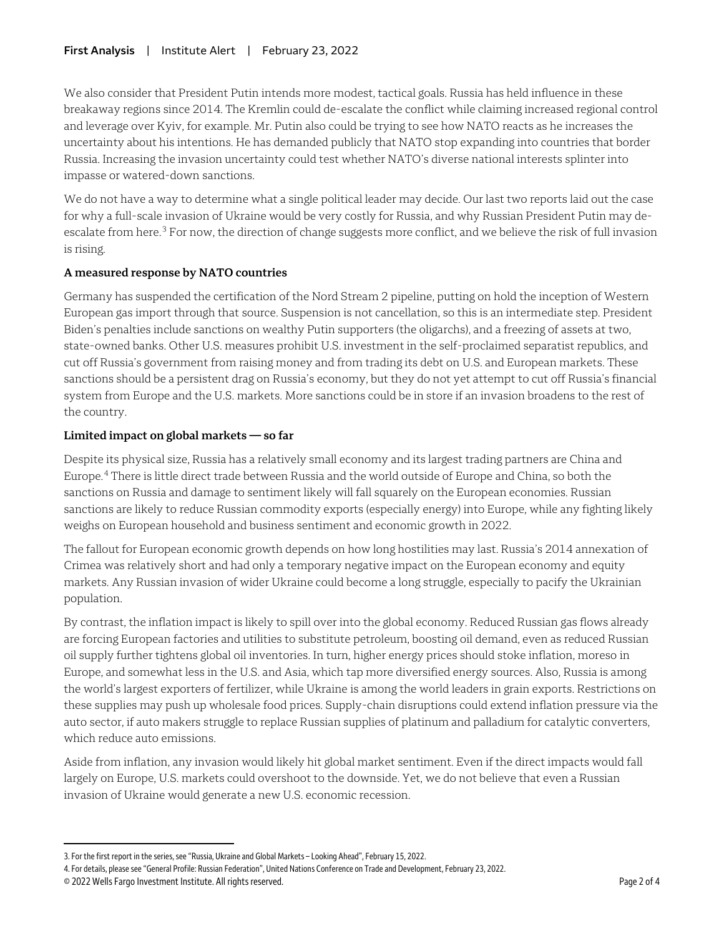We also consider that President Putin intends more modest, tactical goals. Russia has held influence in these breakaway regions since 2014. The Kremlin could de-escalate the conflict while claiming increased regional control and leverage over Kyiv, for example. Mr. Putin also could be trying to see how NATO reacts as he increases the uncertainty about his intentions. He has demanded publicly that NATO stop expanding into countries that border Russia. Increasing the invasion uncertainty could test whether NATO's diverse national interests splinter into impasse or watered-down sanctions.

We do not have a way to determine what a single political leader may decide. Our last two reports laid out the case for why a full-scale invasion of Ukraine would be very costly for Russia, and why Russian President Putin may de-escalate from here.<sup>[3](#page-1-0)</sup> For now, the direction of change suggests more conflict, and we believe the risk of full invasion is rising.

#### **A measured response by NATO countries**

Germany has suspended the certification of the Nord Stream 2 pipeline, putting on hold the inception of Western European gas import through that source. Suspension is not cancellation, so this is an intermediate step. President Biden's penalties include sanctions on wealthy Putin supporters (the oligarchs), and a freezing of assets at two, state-owned banks. Other U.S. measures prohibit U.S. investment in the self-proclaimed separatist republics, and cut off Russia's government from raising money and from trading its debt on U.S. and European markets. These sanctions should be a persistent drag on Russia's economy, but they do not yet attempt to cut off Russia's financial system from Europe and the U.S. markets. More sanctions could be in store if an invasion broadens to the rest of the country.

#### **Limited impact on global markets — so far**

Despite its physical size, Russia has a relatively small economy and its largest trading partners are China and Europe.[4](#page-1-1) There is little direct trade between Russia and the world outside of Europe and China, so both the sanctions on Russia and damage to sentiment likely will fall squarely on the European economies. Russian sanctions are likely to reduce Russian commodity exports (especially energy) into Europe, while any fighting likely weighs on European household and business sentiment and economic growth in 2022.

The fallout for European economic growth depends on how long hostilities may last. Russia's 2014 annexation of Crimea was relatively short and had only a temporary negative impact on the European economy and equity markets. Any Russian invasion of wider Ukraine could become a long struggle, especially to pacify the Ukrainian population.

By contrast, the inflation impact is likely to spill over into the global economy. Reduced Russian gas flows already are forcing European factories and utilities to substitute petroleum, boosting oil demand, even as reduced Russian oil supply further tightens global oil inventories. In turn, higher energy prices should stoke inflation, moreso in Europe, and somewhat less in the U.S. and Asia, which tap more diversified energy sources. Also, Russia is among the world's largest exporters of fertilizer, while Ukraine is among the world leaders in grain exports. Restrictions on these supplies may push up wholesale food prices. Supply-chain disruptions could extend inflation pressure via the auto sector, if auto makers struggle to replace Russian supplies of platinum and palladium for catalytic converters, which reduce auto emissions.

Aside from inflation, any invasion would likely hit global market sentiment. Even if the direct impacts would fall largely on Europe, U.S. markets could overshoot to the downside. Yet, we do not believe that even a Russian invasion of Ukraine would generate a new U.S. economic recession.

 $\overline{a}$ 

<span id="page-1-0"></span><sup>3.</sup> For the first report in the series, see "Russia, Ukraine and Global Markets – Looking Ahead", February 15, 2022.

<span id="page-1-1"></span><sup>4.</sup> For details, please see "General Profile: Russian Federation", United Nations Conference on Trade and Development, February 23, 2022.

<sup>© 2022</sup> Wells Fargo Investment Institute. All rights reserved. Page 2 of 4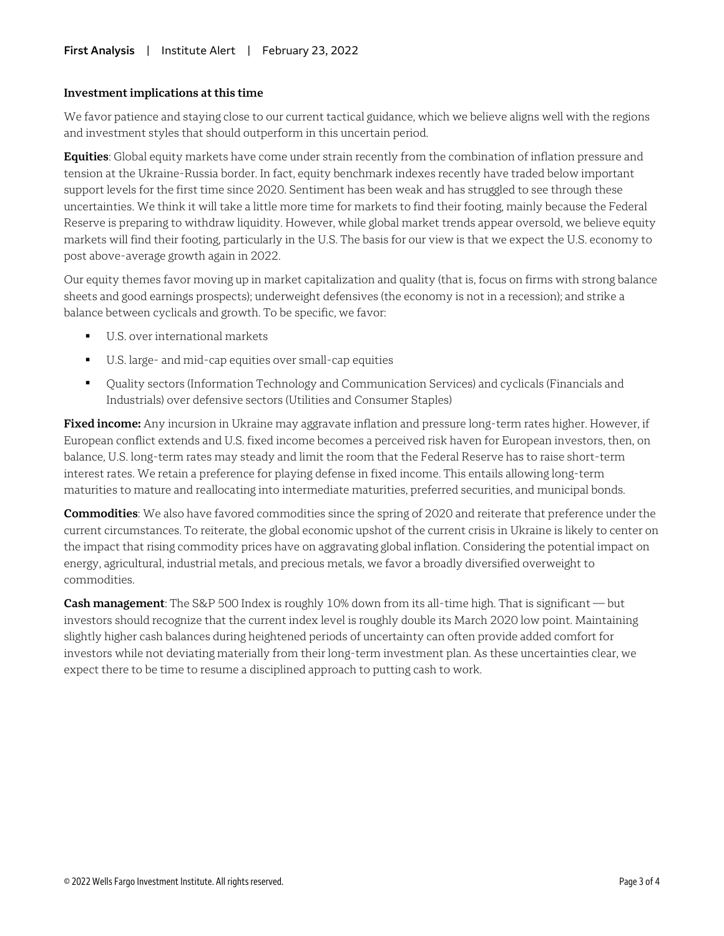#### **Investment implications at this time**

We favor patience and staying close to our current tactical guidance, which we believe aligns well with the regions and investment styles that should outperform in this uncertain period.

**Equities**: Global equity markets have come under strain recently from the combination of inflation pressure and tension at the Ukraine-Russia border. In fact, equity benchmark indexes recently have traded below important support levels for the first time since 2020. Sentiment has been weak and has struggled to see through these uncertainties. We think it will take a little more time for markets to find their footing, mainly because the Federal Reserve is preparing to withdraw liquidity. However, while global market trends appear oversold, we believe equity markets will find their footing, particularly in the U.S. The basis for our view is that we expect the U.S. economy to post above-average growth again in 2022.

Our equity themes favor moving up in market capitalization and quality (that is, focus on firms with strong balance sheets and good earnings prospects); underweight defensives (the economy is not in a recession); and strike a balance between cyclicals and growth. To be specific, we favor:

- U.S. over international markets
- U.S. large- and mid-cap equities over small-cap equities
- Quality sectors (Information Technology and Communication Services) and cyclicals (Financials and Industrials) over defensive sectors (Utilities and Consumer Staples)

**Fixed income:** Any incursion in Ukraine may aggravate inflation and pressure long-term rates higher. However, if European conflict extends and U.S. fixed income becomes a perceived risk haven for European investors, then, on balance, U.S. long-term rates may steady and limit the room that the Federal Reserve has to raise short-term interest rates. We retain a preference for playing defense in fixed income. This entails allowing long-term maturities to mature and reallocating into intermediate maturities, preferred securities, and municipal bonds.

**Commodities**: We also have favored commodities since the spring of 2020 and reiterate that preference under the current circumstances. To reiterate, the global economic upshot of the current crisis in Ukraine is likely to center on the impact that rising commodity prices have on aggravating global inflation. Considering the potential impact on energy, agricultural, industrial metals, and precious metals, we favor a broadly diversified overweight to commodities.

**Cash management**: The S&P 500 Index is roughly 10% down from its all-time high. That is significant — but investors should recognize that the current index level is roughly double its March 2020 low point. Maintaining slightly higher cash balances during heightened periods of uncertainty can often provide added comfort for investors while not deviating materially from their long-term investment plan. As these uncertainties clear, we expect there to be time to resume a disciplined approach to putting cash to work.